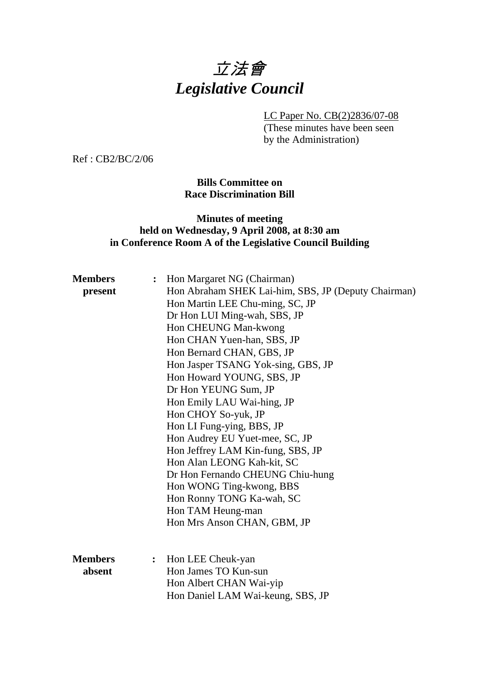# 立法會 *Legislative Council*

LC Paper No. CB(2)2836/07-08

(These minutes have been seen by the Administration)

Ref : CB2/BC/2/06

## **Bills Committee on Race Discrimination Bill**

## **Minutes of meeting held on Wednesday, 9 April 2008, at 8:30 am in Conference Room A of the Legislative Council Building**

| <b>Members</b><br>present | Hon Margaret NG (Chairman)<br>:<br>Hon Abraham SHEK Lai-him, SBS, JP (Deputy Chairman)<br>Hon Martin LEE Chu-ming, SC, JP<br>Dr Hon LUI Ming-wah, SBS, JP<br>Hon CHEUNG Man-kwong<br>Hon CHAN Yuen-han, SBS, JP<br>Hon Bernard CHAN, GBS, JP<br>Hon Jasper TSANG Yok-sing, GBS, JP<br>Hon Howard YOUNG, SBS, JP<br>Dr Hon YEUNG Sum, JP<br>Hon Emily LAU Wai-hing, JP<br>Hon CHOY So-yuk, JP<br>Hon LI Fung-ying, BBS, JP<br>Hon Audrey EU Yuet-mee, SC, JP<br>Hon Jeffrey LAM Kin-fung, SBS, JP<br>Hon Alan LEONG Kah-kit, SC<br>Dr Hon Fernando CHEUNG Chiu-hung<br>Hon WONG Ting-kwong, BBS<br>Hon Ronny TONG Ka-wah, SC<br>Hon TAM Heung-man<br>Hon Mrs Anson CHAN, GBM, JP |
|---------------------------|---------------------------------------------------------------------------------------------------------------------------------------------------------------------------------------------------------------------------------------------------------------------------------------------------------------------------------------------------------------------------------------------------------------------------------------------------------------------------------------------------------------------------------------------------------------------------------------------------------------------------------------------------------------------------------|
| <b>Members</b><br>absent  | Hon LEE Cheuk-yan<br>$\ddot{\bullet}$<br>Hon James TO Kun-sun<br>Hon Albert CHAN Wai-yip<br>Hon Daniel LAM Wai-keung, SBS, JP                                                                                                                                                                                                                                                                                                                                                                                                                                                                                                                                                   |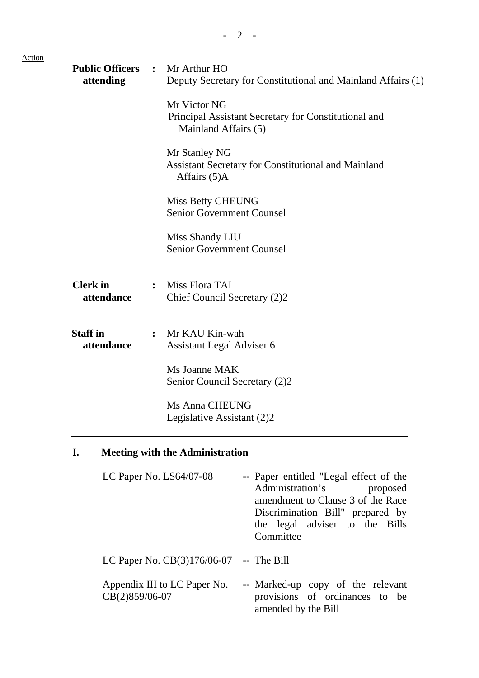| <b>Public Officers</b><br>attending | $\ddot{\cdot}$ | Mr Arthur HO<br>Deputy Secretary for Constitutional and Mainland Affairs (1)                 |
|-------------------------------------|----------------|----------------------------------------------------------------------------------------------|
|                                     |                | Mr Victor NG<br>Principal Assistant Secretary for Constitutional and<br>Mainland Affairs (5) |
|                                     |                | Mr Stanley NG<br><b>Assistant Secretary for Constitutional and Mainland</b><br>Affairs (5)A  |
|                                     |                | <b>Miss Betty CHEUNG</b><br><b>Senior Government Counsel</b>                                 |
|                                     |                | Miss Shandy LIU<br><b>Senior Government Counsel</b>                                          |
| <b>Clerk</b> in<br>attendance       | $\ddot{\cdot}$ | Miss Flora TAI<br>Chief Council Secretary (2)2                                               |
| <b>Staff</b> in<br>attendance       | $\ddot{\cdot}$ | Mr KAU Kin-wah<br>Assistant Legal Adviser 6                                                  |
|                                     |                | Ms Joanne MAK<br>Senior Council Secretary (2)2                                               |
|                                     |                | Ms Anna CHEUNG<br>Legislative Assistant (2)2                                                 |
| I.                                  |                | <b>Meeting with the Administration</b>                                                       |

| LC Paper No. $LS64/07-08$                      | -- Paper entitled "Legal effect of the<br>Administration's proposed<br>amendment to Clause 3 of the Race<br>Discrimination Bill" prepared by<br>the legal adviser to the Bills<br>Committee |
|------------------------------------------------|---------------------------------------------------------------------------------------------------------------------------------------------------------------------------------------------|
| LC Paper No. $CB(3)176/06-07$ -- The Bill      |                                                                                                                                                                                             |
| Appendix III to LC Paper No.<br>CB(2)859/06-07 | -- Marked-up copy of the relevant<br>provisions of ordinances to be<br>amended by the Bill                                                                                                  |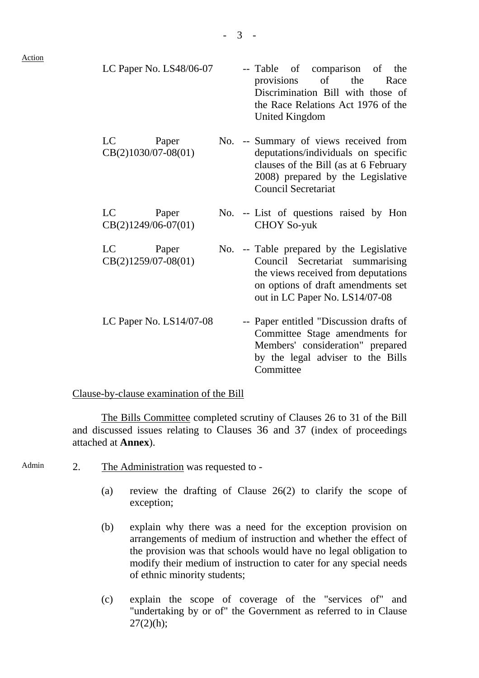| LC Paper No. $LS48/06-07$            |  | -- Table of comparison of<br>the<br>provisions of the<br>Race<br>Discrimination Bill with those of<br>the Race Relations Act 1976 of the<br>United Kingdom                                 |
|--------------------------------------|--|--------------------------------------------------------------------------------------------------------------------------------------------------------------------------------------------|
| LC<br>Paper<br>$CB(2)1030/07-08(01)$ |  | No. -- Summary of views received from<br>deputations/individuals on specific<br>clauses of the Bill (as at 6 February<br>2008) prepared by the Legislative<br><b>Council Secretariat</b>   |
| LC<br>Paper<br>$CB(2)1249/06-07(01)$ |  | No. -- List of questions raised by Hon<br><b>CHOY So-yuk</b>                                                                                                                               |
| LC<br>Paper<br>$CB(2)1259/07-08(01)$ |  | No. -- Table prepared by the Legislative<br>Council Secretariat summarising<br>the views received from deputations<br>on options of draft amendments set<br>out in LC Paper No. LS14/07-08 |

LC Paper No. LS14/07-08 -- Paper entitled "Discussion drafts of Committee Stage amendments for Members' consideration" prepared by the legal adviser to the Bills Committee

#### Clause-by-clause examination of the Bill

The Bills Committee completed scrutiny of Clauses 26 to 31 of the Bill and discussed issues relating to Clauses 36 and 37 (index of proceedings attached at **Annex**).

- Admin 2. The Administration was requested to -
	- (a) review the drafting of Clause 26(2) to clarify the scope of exception;
	- (b) explain why there was a need for the exception provision on arrangements of medium of instruction and whether the effect of the provision was that schools would have no legal obligation to modify their medium of instruction to cater for any special needs of ethnic minority students;
	- (c) explain the scope of coverage of the "services of" and "undertaking by or of" the Government as referred to in Clause  $27(2)(h)$ ;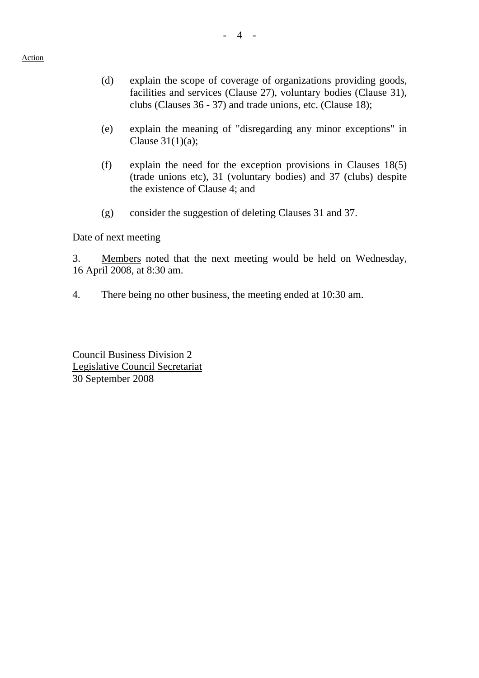- (d) explain the scope of coverage of organizations providing goods, facilities and services (Clause 27), voluntary bodies (Clause 31), clubs (Clauses 36 - 37) and trade unions, etc. (Clause 18);
- (e) explain the meaning of "disregarding any minor exceptions" in Clause 31(1)(a);
- (f) explain the need for the exception provisions in Clauses 18(5) (trade unions etc), 31 (voluntary bodies) and 37 (clubs) despite the existence of Clause 4; and
- (g) consider the suggestion of deleting Clauses 31 and 37.

#### Date of next meeting

3. Members noted that the next meeting would be held on Wednesday, 16 April 2008, at 8:30 am.

4. There being no other business, the meeting ended at 10:30 am.

Council Business Division 2 Legislative Council Secretariat 30 September 2008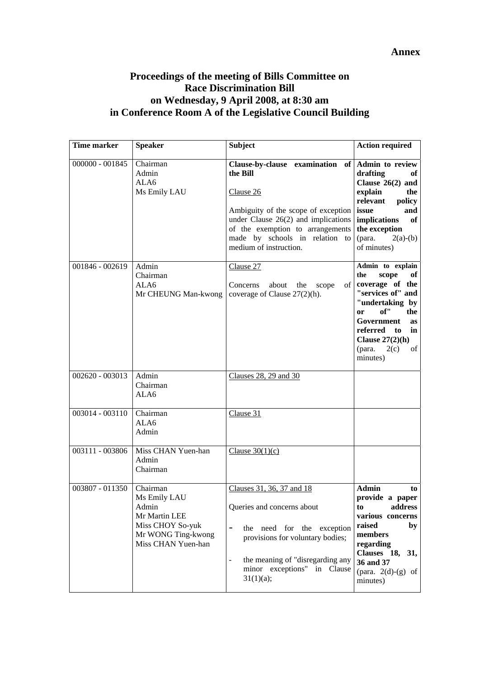#### **Annex**

## **Proceedings of the meeting of Bills Committee on Race Discrimination Bill on Wednesday, 9 April 2008, at 8:30 am in Conference Room A of the Legislative Council Building**

| Time marker     | <b>Speaker</b>                                                                                                     | <b>Subject</b>                                                                                                                                                                                                                                           | <b>Action required</b>                                                                                                                                                                                                                 |
|-----------------|--------------------------------------------------------------------------------------------------------------------|----------------------------------------------------------------------------------------------------------------------------------------------------------------------------------------------------------------------------------------------------------|----------------------------------------------------------------------------------------------------------------------------------------------------------------------------------------------------------------------------------------|
| 000000 - 001845 | Chairman<br>Admin<br>ALA6<br>Ms Emily LAU                                                                          | Clause-by-clause examination of Admin to review<br>the Bill<br>Clause 26<br>Ambiguity of the scope of exception<br>under Clause $26(2)$ and implications<br>of the exemption to arrangements<br>made by schools in relation to<br>medium of instruction. | drafting<br>оf<br>Clause $26(2)$ and<br>explain<br>the<br>relevant<br>policy<br>issue<br>and<br><i>implications</i><br>of<br>the exception<br>(para.<br>$2(a)-(b)$<br>of minutes)                                                      |
| 001846 - 002619 | Admin<br>Chairman<br>ALA6<br>Mr CHEUNG Man-kwong                                                                   | Clause 27<br>of<br>Concerns<br>about<br>the<br>scope<br>coverage of Clause $27(2)(h)$ .                                                                                                                                                                  | Admin to explain<br>the<br>scope<br>of<br>coverage of the<br>"services of" and<br>"undertaking by<br>of''<br>the<br><b>or</b><br>Government<br><b>as</b><br>referred to<br>in<br>Clause $27(2)(h)$<br>2(c)<br>(para.<br>of<br>minutes) |
| 002620 - 003013 | Admin<br>Chairman<br>ALA6                                                                                          | Clauses 28, 29 and 30                                                                                                                                                                                                                                    |                                                                                                                                                                                                                                        |
| 003014 - 003110 | Chairman<br>ALA6<br>Admin                                                                                          | Clause 31                                                                                                                                                                                                                                                |                                                                                                                                                                                                                                        |
| 003111 - 003806 | Miss CHAN Yuen-han<br>Admin<br>Chairman                                                                            | Clause $30(1)(c)$                                                                                                                                                                                                                                        |                                                                                                                                                                                                                                        |
| 003807 - 011350 | Chairman<br>Ms Emily LAU<br>Admin<br>Mr Martin LEE<br>Miss CHOY So-yuk<br>Mr WONG Ting-kwong<br>Miss CHAN Yuen-han | Clauses 31, 36, 37 and 18<br>Queries and concerns about<br>-<br>the need for the exception<br>provisions for voluntary bodies;<br>the meaning of "disregarding any<br>$\qquad \qquad \blacksquare$<br>minor exceptions" in Clause<br>31(1)(a);           | <b>Admin</b><br>to<br>provide a paper<br>address<br>to<br>various concerns<br>raised<br>by<br>members<br>regarding<br>Clauses 18, 31,<br>36 and 37<br>(para. $2(d)-(g)$ of<br>minutes)                                                 |